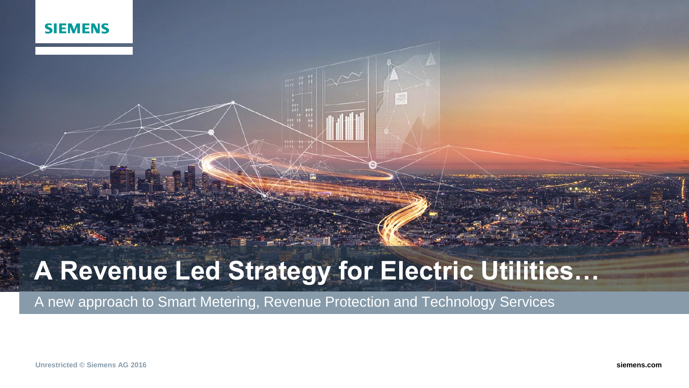

# **A Revenue Led Strategy for Electric Utilities…**

A new approach to Smart Metering, Revenue Protection and Technology Services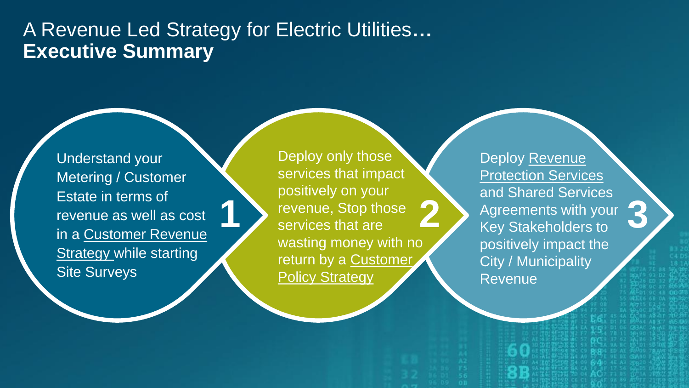# A Revenue Led Strategy for Electric Utilities**… Executive Summary**

**1**

Understand your Metering / Customer Estate in terms of revenue as well as cost in a Customer Revenue **Strategy while starting Site Surveys** 

Deploy only those services that impact positively on your revenue, Stop those services that are wasting money with no return by a Customer **Policy Strategy 2**

Page 3 Mar 2016 **University of Contract Contract Contract Contract Contract Contract Contract Contract Contract Contract Contract Contract Contract Contract Contract Contract Contract Contract Contract Contract Contract Co** 

Deploy Revenue Protection Services and Shared Services Agreements with your Key Stakeholders to positively impact the City / Municipality Revenue

**3**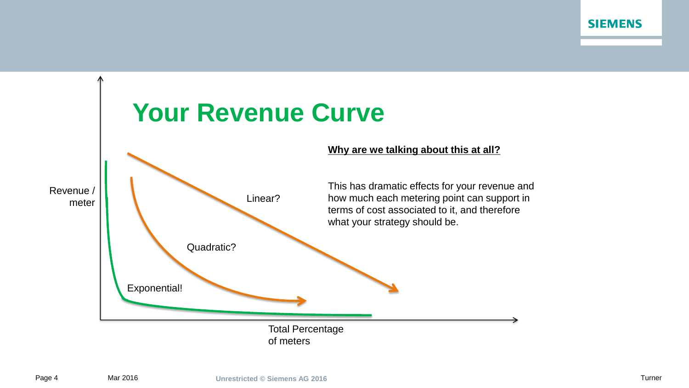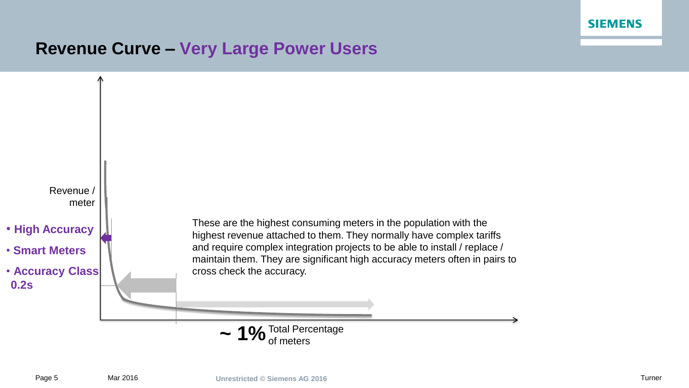

# **Revenue Curve – Very Large Power Users**

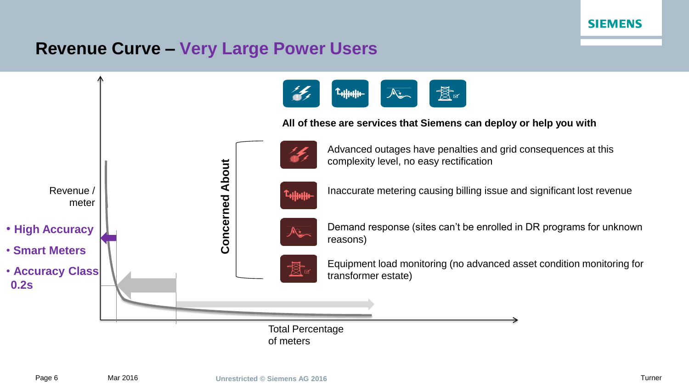

# **Revenue Curve – Very Large Power Users**

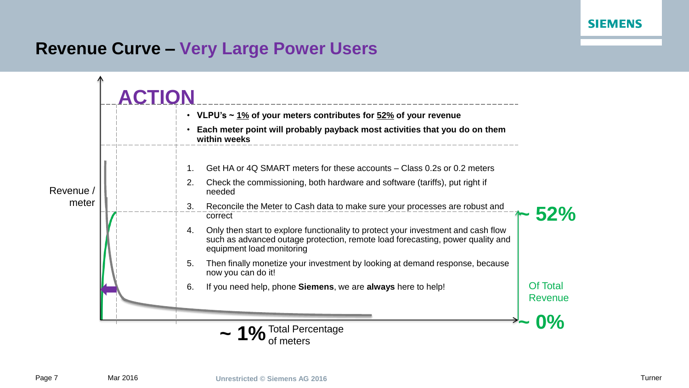# **Revenue Curve – Very Large Power Users**

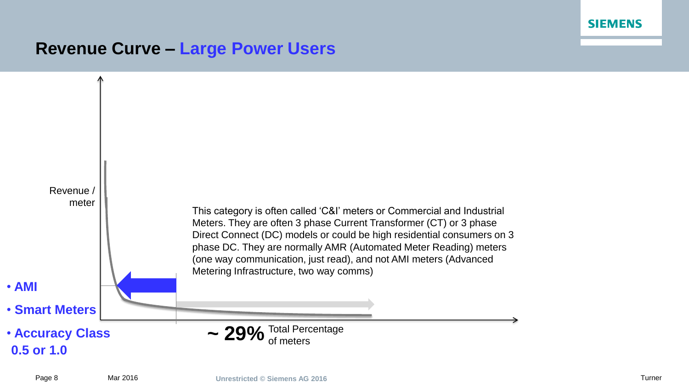# **Revenue Curve – Large Power Users**

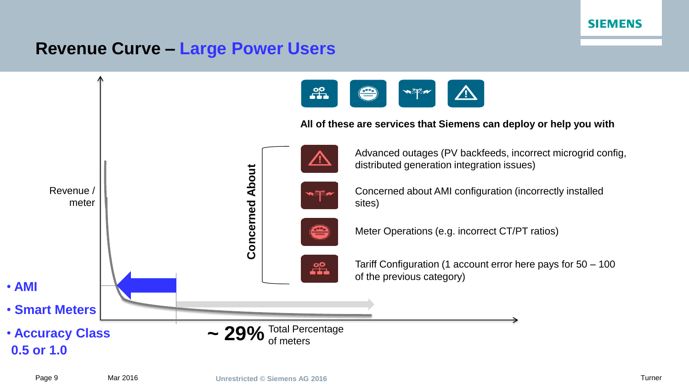# **Revenue Curve – Large Power Users**

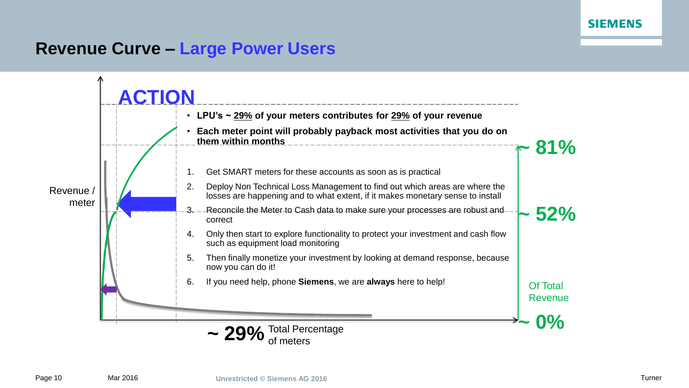# **Revenue Curve – Large Power Users**

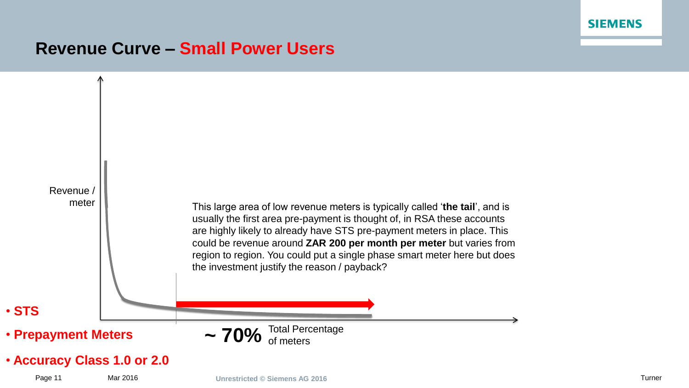# **Revenue Curve – Small Power Users**

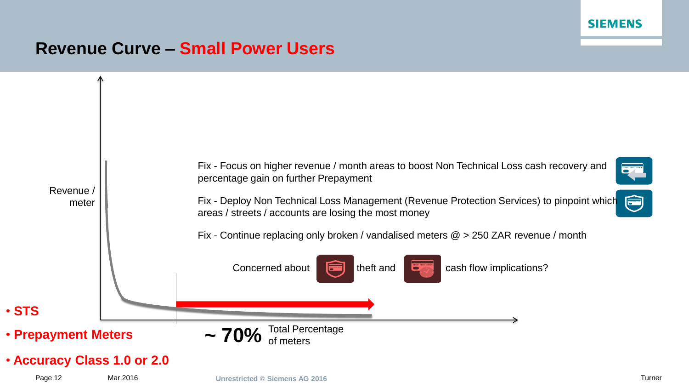# **Revenue Curve – Small Power Users**

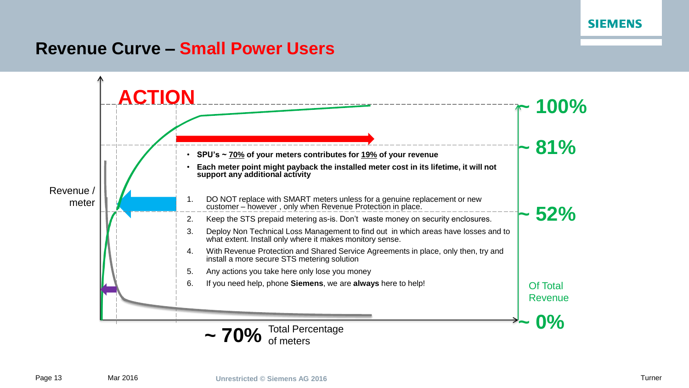# **Revenue Curve – Small Power Users**